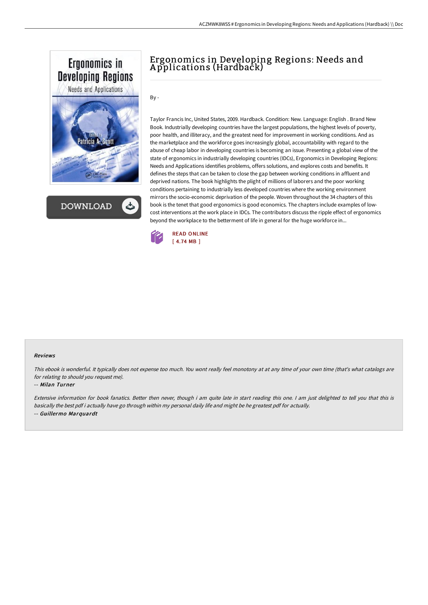

**DOWNLOAD** 

# Ergonomics in Developing Regions: Needs and A pplications (Hardback)

By -

Taylor Francis Inc, United States, 2009. Hardback. Condition: New. Language: English . Brand New Book. Industrially developing countries have the largest populations, the highest levels of poverty, poor health, and illiteracy, and the greatest need for improvement in working conditions. And as the marketplace and the workforce goes increasingly global, accountability with regard to the abuse of cheap labor in developing countries is becoming an issue. Presenting a global view of the state of ergonomics in industrially developing countries (IDCs), Ergonomics in Developing Regions: Needs and Applications identifies problems, offers solutions, and explores costs and benefits. It defines the steps that can be taken to close the gap between working conditions in affluent and deprived nations. The book highlights the plight of millions of laborers and the poor working conditions pertaining to industrially less developed countries where the working environment mirrors the socio-economic deprivation of the people. Woven throughout the 34 chapters of this book is the tenet that good ergonomics is good economics. The chapters include examples of lowcost interventions at the work place in IDCs. The contributors discuss the ripple effect of ergonomics beyond the workplace to the betterment of life in general for the huge workforce in...



#### Reviews

This ebook is wonderful. It typically does not expense too much. You wont really feel monotony at at any time of your own time (that's what catalogs are for relating to should you request me).

### -- Milan Turner

Extensive information for book fanatics. Better then never, though i am quite late in start reading this one. <sup>I</sup> am just delighted to tell you that this is basically the best pdf i actually have go through within my personal daily life and might be he greatest pdf for actually. -- Guillermo Marquardt